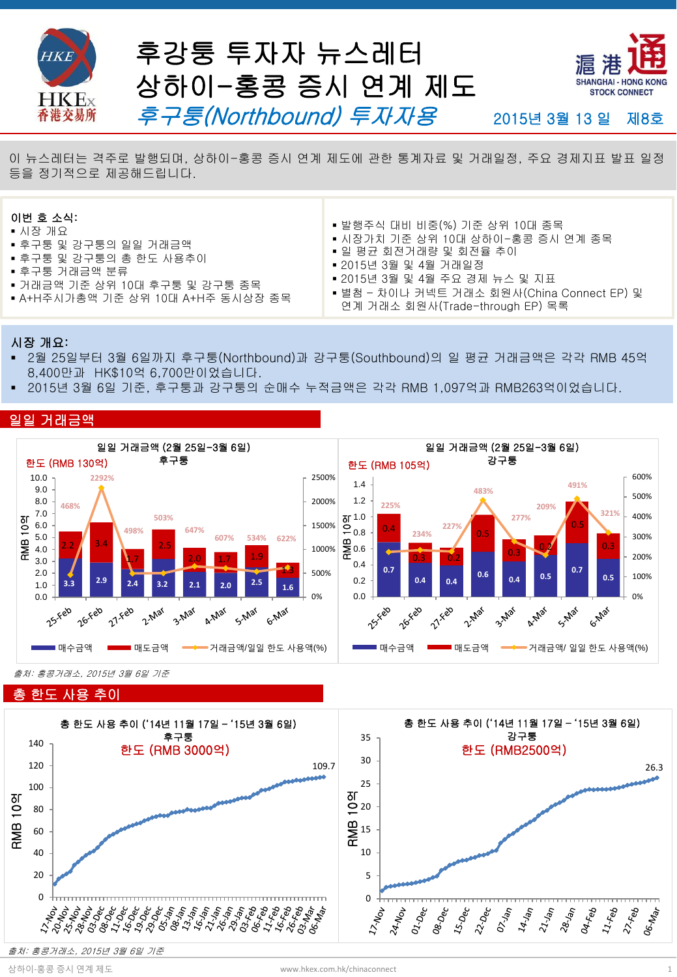

**Hot Topics** <sup>이</sup> 뉴스레터는 격주로 발행되며, 상하이-홍콩 증시 연계 제도에 관한 통계자료 <sup>및</sup> 거래일정, 주요 경제지표 발표 일정 등을 정기적으로 제공해드립니다.

#### 이번 호 소식:

- 시장 개요
- 후구퉁 및 강구퉁의 일일 거래금액
- 후구퉁 및 강구퉁의 총 한도 사용추이
- 후구퉁 거래금액 분류
- 거래금액 기준 상위 10대 후구퉁 및 강구퉁 종목
- A+H주시가총액 기준 상위 10대 A+H주 동시상장 종목
- 발행주식 대비 비중(%) 기준 상위 10대 종목
- 시장가치 기준 상위 10대 상하이-홍콩 증시 연계 종목
- 일 평균 회전거래량 및 회전율 추이
- 2015년 3월 및 4월 거래일정
	- 2015년 3월 및 4월 주요 경제 뉴스 및 지표
- 별첨 차이나 커넥트 거래소 회원사(China Connect EP) 및
- 연계 거래소 회원사(Trade-through EP) 목록

#### 시장 개요:

- 2월 25일부터 3월 6일까지 후구퉁(Northbound)과 강구퉁(Southbound)의 일 평균 거래금액은 각각 RMB 45억 8,400만과 HK\$10억 6,700만이었습니다.
- 2015년 3월 6일 기준, 후구퉁과 강구퉁의 순매수 누적금액은 각각 RMB 1,097억과 RMB263억이었습니다.



출처: 홍콩거래소, 2015년 3월 6일 기준

### 총 한도 사용 추이

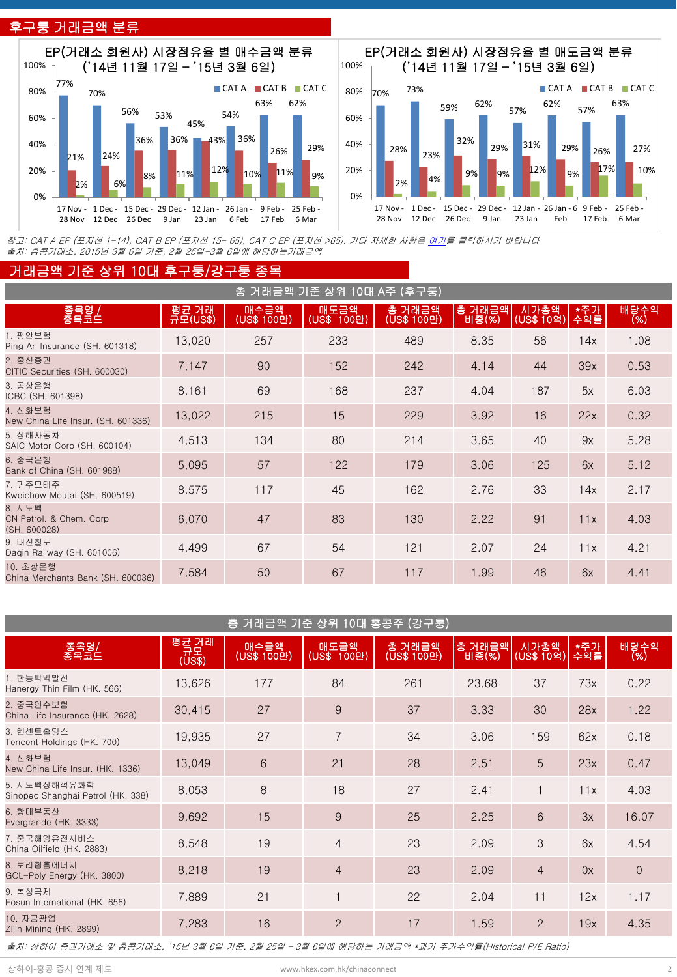## 후구퉁 거래금액 분류





참고: CAT A EP (포지션 1-14), CAT B EP (포지션 15- 65), CAT C EP (포지션 >65). 기타 자세한 사항은 [여기](http://www.hkex.com.hk/eng/stat/epstat/exreport.htm)를 클릭하시기 바랍니다 출처: 홍콩거래소, 2015년 3월 6일 기준, 2월 25일-3월 6일에 해당하는거래금액

#### 거래금액 기준 상위 10대 후구퉁/강구퉁 종목

|                                                    |                    |                     | 총 거래금액 기준 상위 10대 A주 (후구퉁) |                       |                 |                    |            |              |
|----------------------------------------------------|--------------------|---------------------|---------------------------|-----------------------|-----------------|--------------------|------------|--------------|
| 종목명 /<br>종목코드                                      | ∣평균 거래<br>규모(US\$) | 매수금액<br>(US\$ 100만) | 매도금액<br>(US\$ 100만)       | 총 거래금액<br>(US\$ 100만) | 총 거래금액<br>비중(%) | 시가총액<br>(US\$ 10억) | *주가<br>수익률 | 배당수익<br>(% ) |
| 1. 평안보험<br>Ping An Insurance (SH, 601318)          | 13,020             | 257                 | 233                       | 489                   | 8.35            | 56                 | 14x        | 1.08         |
| 2. 중신증권<br>CITIC Securities (SH. 600030)           | 7,147              | 90                  | 152                       | 242                   | 4.14            | 44                 | 39x        | 0.53         |
| 3. 공상은행<br>ICBC (SH, 601398)                       | 8,161              | 69                  | 168                       | 237                   | 4.04            | 187                | 5x         | 6.03         |
| 4. 신화보험<br>New China Life Insur. (SH. 601336)      | 13,022             | 215                 | 15                        | 229                   | 3.92            | 16                 | 22x        | 0.32         |
| 5. 상해자동차<br>SAIC Motor Corp (SH, 600104)           | 4,513              | 134                 | 80                        | 214                   | 3.65            | 40                 | 9x         | 5.28         |
| 6. 중국은행<br>Bank of China (SH, 601988)              | 5,095              | 57                  | 122                       | 179                   | 3.06            | 125                | 6x         | 5.12         |
| 7. 귀주모태주<br>Kweichow Moutai (SH, 600519)           | 8,575              | 117                 | 45                        | 162                   | 2.76            | 33                 | 14x        | 2.17         |
| 8. 시노펙<br>CN Petrol. & Chem. Corp.<br>(SH. 600028) | 6,070              | 47                  | 83                        | 130                   | 2.22            | 91                 | 11x        | 4.03         |
| 9. 대진철도<br>Dagin Railway (SH. 601006)              | 4,499              | 67                  | 54                        | 121                   | 2.07            | 24                 | 11x        | 4.21         |
| 10. 초상은행<br>China Merchants Bank (SH. 600036)      | 7,584              | 50                  | 67                        | 117                   | 1.99            | 46                 | 6x         | 4.41         |

|                                                   |                        | 총 거래금액 기준 상위 10대 홍콩주 (강구퉁) |                     |                       |                 |                    |            |              |  |
|---------------------------------------------------|------------------------|----------------------------|---------------------|-----------------------|-----------------|--------------------|------------|--------------|--|
| 종목명/<br>종목코드                                      | 평균 거래<br>.규모<br>(US\$) | 매수금액<br>(US\$ 100만)        | 매도금액<br>(US\$ 100만) | 총 거래금액<br>(US\$ 100만) | 총 거래금액<br>비중(%) | 시가총액<br>(US\$ 10억) | *주가<br>수익률 | 배당수익<br>(% ) |  |
| 1. 한능박막발전<br>Hanergy Thin Film (HK, 566)          | 13,626                 | 177                        | 84                  | 261                   | 23.68           | 37                 | 73x        | 0.22         |  |
| 2. 중국인수보험<br>China Life Insurance (HK, 2628)      | 30,415                 | 27                         | 9                   | 37                    | 3.33            | 30                 | 28x        | 1.22         |  |
| 3. 텐센트홀딩스<br>Tencent Holdings (HK, 700)           | 19,935                 | 27                         | $\overline{7}$      | 34                    | 3.06            | 159                | 62x        | 0.18         |  |
| 4. 신화보험<br>New China Life Insur. (HK. 1336)       | 13,049                 | 6                          | 21                  | 28                    | 2.51            | 5                  | 23x        | 0.47         |  |
| 5. 시노펙상해석유화학<br>Sinopec Shanghai Petrol (HK, 338) | 8,053                  | 8                          | 18                  | 27                    | 2.41            |                    | 11x        | 4.03         |  |
| 6. 항대부동산<br>Evergrande (HK. 3333)                 | 9,692                  | 15                         | 9                   | 25                    | 2.25            | 6                  | 3x         | 16.07        |  |
| 7. 중국해양유전서비스<br>China Oilfield (HK. 2883)         | 8,548                  | 19                         | $\overline{4}$      | 23                    | 2.09            | 3                  | 6x         | 4.54         |  |
| 8. 보리협흠에너지<br>GCL-Poly Energy (HK, 3800)          | 8,218                  | 19                         | $\overline{4}$      | 23                    | 2.09            | $\overline{4}$     | 0x         | $\Omega$     |  |
| 9. 복성국제<br>Fosun International (HK, 656)          | 7,889                  | 21                         |                     | 22                    | 2.04            | 11                 | 12x        | 1.17         |  |
| 10. 자금광업<br>Zijin Mining (HK. 2899)               | 7,283                  | 16                         | $\overline{2}$      | 17                    | 1.59            | $\overline{2}$     | 19x        | 4.35         |  |
|                                                   |                        |                            |                     |                       |                 |                    |            |              |  |

출처: 상하이 증권거래소 및 홍콩거래소, '15년 3월 6일 기준, 2월 25일 – 3월 6일에 해당하는 거래금액 \*과거 주가수익률(Historical P/E Ratio)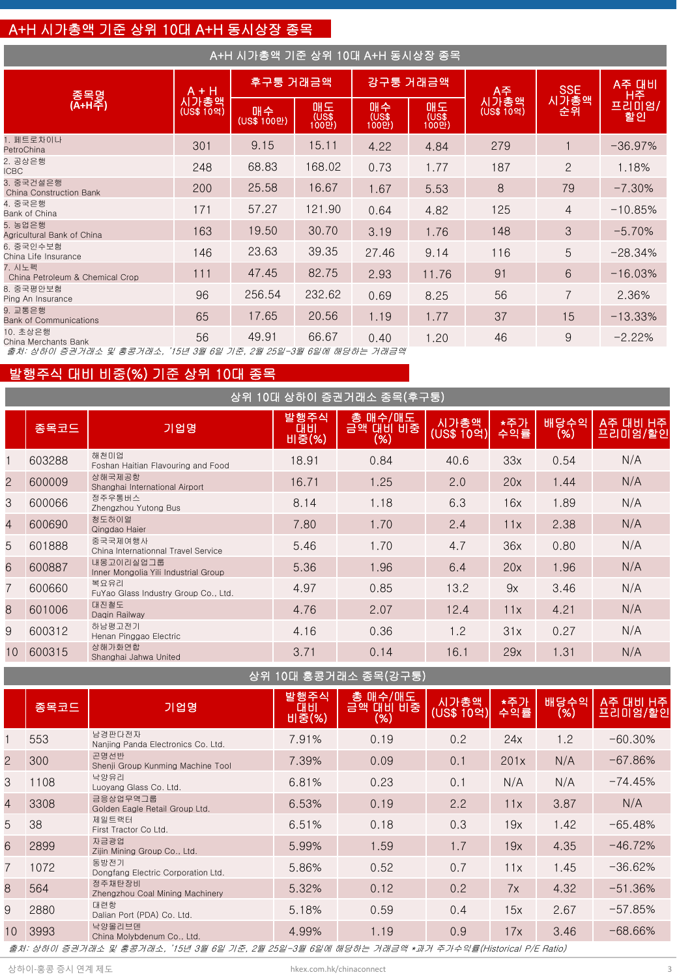## A+H 시가총액 기준 상위 10대 A+H 동시상장 종목

| A+H 시가총액 기준 상위 10대 A+H 동시상장 종목                                |                    |                   |                      |                      |              |                    |                |             |
|---------------------------------------------------------------|--------------------|-------------------|----------------------|----------------------|--------------|--------------------|----------------|-------------|
| 종목명                                                           | A + H              | 후구퉁 거래금액          |                      |                      | 강구퉁 거래금액     | A주                 | <b>SSE</b>     | A주 대비<br>H주 |
| (A+H주)                                                        | 시가총액<br>(US\$ 10억) | 매수<br>(US\$ 100만) | 매도<br>(US\$<br>100만) | 매수<br>(US\$<br>100만) | 매도<br>(1000) | 시가총액<br>(US\$ 10억) | 시가총액<br>- 순위   | 프리미엄/<br>할인 |
| 1. 페트로차이나<br>PetroChina                                       | 301                | 9.15              | 15.11                | 4.22                 | 4.84         | 279                |                | $-36.97%$   |
| 2. 공상은행<br><b>ICBC</b>                                        | 248                | 68.83             | 168.02               | 0.73                 | 1.77         | 187                | $\overline{2}$ | 1.18%       |
| 3. 중국건설은행<br><b>China Construction Bank</b>                   | 200                | 25.58             | 16.67                | 1.67                 | 5.53         | 8                  | 79             | $-7.30%$    |
| 4. 중국은행<br>Bank of China                                      | 171                | 57.27             | 121.90               | 0.64                 | 4.82         | 125                | $\overline{4}$ | $-10.85%$   |
| 5. 농업은행<br>Agricultural Bank of China                         | 163                | 19.50             | 30.70                | 3.19                 | 1.76         | 148                | 3              | $-5.70%$    |
| 6. 중국인수보험<br>China Life Insurance                             | 146                | 23.63             | 39.35                | 27.46                | 9.14         | 116                | 5              | $-28.34%$   |
| 7. 시노펙<br>China Petroleum & Chemical Crop                     | 111                | 47.45             | 82.75                | 2.93                 | 11.76        | 91                 | 6              | $-16.03%$   |
| 8. 중국평안보험<br>Ping An Insurance                                | 96                 | 256.54            | 232.62               | 0.69                 | 8.25         | 56                 | $\overline{7}$ | 2.36%       |
| 9. 교통은행<br><b>Bank of Communications</b>                      | 65                 | 17.65             | 20.56                | 1.19                 | 1.77         | 37                 | 15             | $-13.33%$   |
| 10. 초상은행<br>China Merchants Bank                              | 56                 | 49.91             | 66.67                | 0.40                 | 1.20         | 46                 | 9              | $-2.22%$    |
| 출처: 상하이 증권거래소 및 홍콩거래소, '15년 3월 6일 기준, 2월 25일-3월 6일에 해당하는 거래금액 |                    |                   |                      |                      |              |                    |                |             |

발행주식 대비 비중(%) 기준 상위 10대 종목

|                | 상위 10대 상하이 증권거래소 종목(후구퉁) |                                                   |                     |                            |                    |            |             |                     |  |  |
|----------------|--------------------------|---------------------------------------------------|---------------------|----------------------------|--------------------|------------|-------------|---------------------|--|--|
|                | 종목코드                     | 기업명                                               | 발행주식<br>대비<br>비중(%) | 총 매수/매도<br>금액 대비 비중<br>(%) | 시가총액<br>(US\$~109) | *주가<br>수익률 | 배당수익<br>(%) | A주 대비 H주<br>프리미엄/할인 |  |  |
|                | 603288                   | 해천미업<br>Foshan Haitian Flavouring and Food        | 18.91               | 0.84                       | 40.6               | 33x        | 0.54        | N/A                 |  |  |
| $\overline{2}$ | 600009                   | 상해국제공항<br>Shanghai International Airport          | 16.71               | 1.25                       | 2.0                | 20x        | 1.44        | N/A                 |  |  |
| 3              | 600066                   | 정주우통버스<br>Zhengzhou Yutong Bus                    | 8.14                | 1.18                       | 6.3                | 16x        | 1.89        | N/A                 |  |  |
| $\overline{4}$ | 600690                   | 청도하이얼<br>Qingdao Haier                            | 7.80                | 1.70                       | 2.4                | 11x        | 2.38        | N/A                 |  |  |
| 5              | 601888                   | 중국국제여행사<br>China Internationnal Travel Service    | 5.46                | 1.70                       | 4.7                | 36x        | 0.80        | N/A                 |  |  |
| 6              | 600887                   | 내몽고이리실업그룹<br>Inner Mongolia Yili Industrial Group | 5.36                | 1.96                       | 6.4                | 20x        | 1.96        | N/A                 |  |  |
| $\overline{7}$ | 600660                   | 복요유리<br>FuYao Glass Industry Group Co., Ltd.      | 4.97                | 0.85                       | 13.2               | 9x         | 3.46        | N/A                 |  |  |
| 8              | 601006                   | 대진철도<br>Dagin Railway                             | 4.76                | 2.07                       | 12.4               | 11x        | 4.21        | N/A                 |  |  |
| 9              | 600312                   | 하남평고전기<br>Henan Pinggao Electric                  | 4.16                | 0.36                       | 1.2                | 31x        | 0.27        | N/A                 |  |  |
| 10             | 600315                   | 상해가화연합<br>Shanghai Jahwa United                   | 3.71                | 0.14                       | 16.1               | 29x        | 1.31        | N/A                 |  |  |

상위 10대 홍콩거래소 종목(강구퉁)

|                | 종목코드 | 기업명                                          | 발행주식<br><b>CH HI</b><br>비충(%) | 총 매수/매도<br>금액 대비 비중<br>(%) | 시가총액<br>(US\$ 10억) | *주가<br>수익률 | 배당수익<br>(%) | A주 대비 H주<br>프리미엄/할인 |
|----------------|------|----------------------------------------------|-------------------------------|----------------------------|--------------------|------------|-------------|---------------------|
|                | 553  | 남경판다전자<br>Nanjing Panda Electronics Co. Ltd. | 7.91%                         | 0.19                       | 0.2                | 24x        | 1.2         | $-60.30\%$          |
| $\overline{2}$ | 300  | 곤명선반<br>Shenji Group Kunming Machine Tool    | 7.39%                         | 0.09                       | 0.1                | 201x       | N/A         | $-67.86%$           |
| 3              | 1108 | 낙양유리<br>Luoyang Glass Co. Ltd.               | 6.81%                         | 0.23                       | 0.1                | N/A        | N/A         | $-74.45%$           |
| $\overline{4}$ | 3308 | 금응상업무역그룹<br>Golden Eagle Retail Group Ltd.   | 6.53%                         | 0.19                       | 2.2                | 11x        | 3.87        | N/A                 |
| 5              | 38   | 제일트랙터<br>First Tractor Co Ltd.               | 6.51%                         | 0.18                       | 0.3                | 19x        | 1.42        | $-65.48%$           |
| 6              | 2899 | 자금광업<br>Zijin Mining Group Co., Ltd.         | 5.99%                         | 1.59                       | 1.7                | 19x        | 4.35        | $-46.72%$           |
| $\overline{7}$ | 1072 | 동방전기<br>Dongfang Electric Corporation Ltd.   | 5.86%                         | 0.52                       | 0.7                | 11x        | 1.45        | $-36.62%$           |
| 8              | 564  | 정주채탄장비<br>Zhengzhou Coal Mining Machinery    | 5.32%                         | 0.12                       | 0.2                | 7x         | 4.32        | $-51.36%$           |
| 9              | 2880 | 대련항<br>Dalian Port (PDA) Co. Ltd.            | 5.18%                         | 0.59                       | 0.4                | 15x        | 2.67        | $-57.85%$           |
| 10             | 3993 | 낙양몰리브덴<br>China Molybdenum Co., Ltd.         | 4.99%                         | 1.19                       | 0.9                | 17x        | 3.46        | $-68.66\%$          |

출처: 상하이 증권거래소 및 홍콩거래소, '15년 3월 6일 기준, 2월 25일-3월 6일에 해당하는 거래금액 \*과거 주가수익률(Historical P/E Ratio)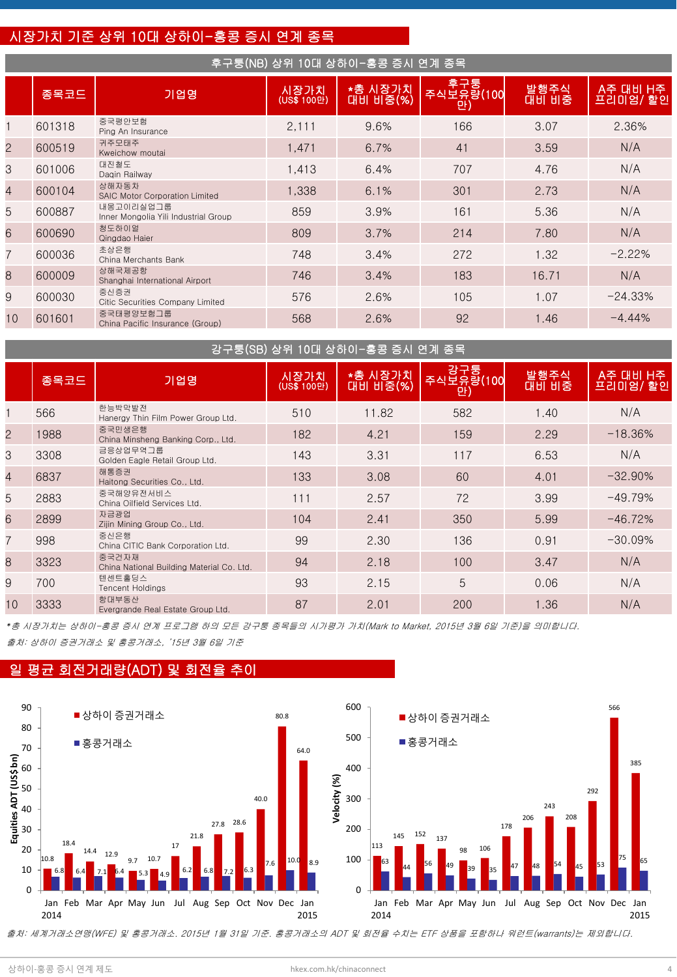## 시장가치 기준 상위 10대 상하이-홍콩 증시 연계 종목

#### 후구퉁(NB) 상위 10대 상하이-홍콩 증시 연계 종목

|                | 종목코드   | 기업명                                               | 시장가치<br>(US\$ 100만) | ★총 시장가치<br>대비 비중(%) | 후구퉁<br>주식보유량(100<br>만 | 발행주식<br>대비 비중 | A주 대비 H주<br>프리미엄/할인 |
|----------------|--------|---------------------------------------------------|---------------------|---------------------|-----------------------|---------------|---------------------|
|                | 601318 | 중국평안보험<br>Ping An Insurance                       | 2,111               | 9.6%                | 166                   | 3.07          | 2.36%               |
| $\overline{2}$ | 600519 | 귀주모태주<br>Kweichow moutai                          | 1,471               | 6.7%                | 41                    | 3.59          | N/A                 |
| 3              | 601006 | 대진철도<br>Dagin Railway                             | 1,413               | 6.4%                | 707                   | 4.76          | N/A                 |
| $\overline{4}$ | 600104 | 상해자동차<br><b>SAIC Motor Corporation Limited</b>    | 1,338               | 6.1%                | 301                   | 2.73          | N/A                 |
| 5              | 600887 | 내몽고이리실업그룹<br>Inner Mongolia Yili Industrial Group | 859                 | 3.9%                | 161                   | 5.36          | N/A                 |
| 6              | 600690 | 청도하이얼<br>Qingdao Haier                            | 809                 | 3.7%                | 214                   | 7.80          | N/A                 |
| $\overline{7}$ | 600036 | 초상은행<br>China Merchants Bank                      | 748                 | 3.4%                | 272                   | 1.32          | $-2.22%$            |
| 8              | 600009 | 상해국제공항<br>Shanghai International Airport          | 746                 | 3.4%                | 183                   | 16.71         | N/A                 |
| 9              | 600030 | 중신증권<br>Citic Securities Company Limited          | 576                 | 2.6%                | 105                   | 1.07          | $-24.33%$           |
| 10             | 601601 | 중국태평양보험그룹<br>China Pacific Insurance (Group)      | 568                 | 2.6%                | 92                    | 1.46          | $-4.44%$            |

|                | 강구퉁(SB) 상위 10대 상하이-홍콩 증시 연계 종목 |                                                    |                     |                     |                        |                      |                     |  |  |  |  |
|----------------|--------------------------------|----------------------------------------------------|---------------------|---------------------|------------------------|----------------------|---------------------|--|--|--|--|
|                | 종목코드                           | 기업명                                                | 시장가치<br>(US\$ 100만) | *총 시장가치<br>대비 비중(%) | 강구퉁<br>주식보유량(100<br>만) | 발행주식<br><b>대비 비중</b> | A주 대비 H주<br>프리미엄/할인 |  |  |  |  |
|                | 566                            | 한능박막발전<br>Hanergy Thin Film Power Group Ltd.       | 510                 | 11.82               | 582                    | 1.40                 | N/A                 |  |  |  |  |
| $\overline{2}$ | 1988                           | 중국민생은행<br>China Minsheng Banking Corp., Ltd.       | 182                 | 4.21                | 159                    | 2.29                 | $-18.36%$           |  |  |  |  |
| 3              | 3308                           | 금응상업무역그룹<br>Golden Eagle Retail Group Ltd.         | 143                 | 3.31                | 117                    | 6.53                 | N/A                 |  |  |  |  |
| $\overline{4}$ | 6837                           | 해통증권<br>Haitong Securities Co., Ltd.               | 133                 | 3.08                | 60                     | 4.01                 | $-32.90\%$          |  |  |  |  |
| 5              | 2883                           | 중국해양유전서비스<br>China Oilfield Services Ltd.          | 111                 | 2.57                | 72                     | 3.99                 | $-49.79%$           |  |  |  |  |
| 6              | 2899                           | 자금광업<br>Zijin Mining Group Co., Ltd.               | 104                 | 2.41                | 350                    | 5.99                 | $-46.72%$           |  |  |  |  |
| $\overline{7}$ | 998                            | 중신은행<br>China CITIC Bank Corporation Ltd.          | 99                  | 2.30                | 136                    | 0.91                 | $-30.09%$           |  |  |  |  |
| 8              | 3323                           | 중국건자재<br>China National Building Material Co. Ltd. | 94                  | 2.18                | 100                    | 3.47                 | N/A                 |  |  |  |  |
| 9              | 700                            | 텐센트홀딩스<br><b>Tencent Holdings</b>                  | 93                  | 2.15                | 5                      | 0.06                 | N/A                 |  |  |  |  |
| 10             | 3333                           | 항대부동산<br>Evergrande Real Estate Group Ltd.         | 87                  | 2.01                | 200                    | 1.36                 | N/A                 |  |  |  |  |

출처: 상하이 증권거래소 및 홍콩거래소, '15년 3월 6일 기준 *\**총 시장가치는 상하이-홍콩 증시 연계 프로그램 하의 모든 강구퉁 종목들의 시가평가 가치(Mark to Market, 2015년 3월 6일 기준)을 의미합니다.

## 일 평균 회전거래량(ADT) 및 회전율 추이



출처: 세계거래소연맹(WFE) 및 홍콩거래소. 2015년 1월 31일 기준. 홍콩거래소의 ADT 및 회전율 수치는 ETF 상품을 포함하나 워런트(warrants)는 제외합니다.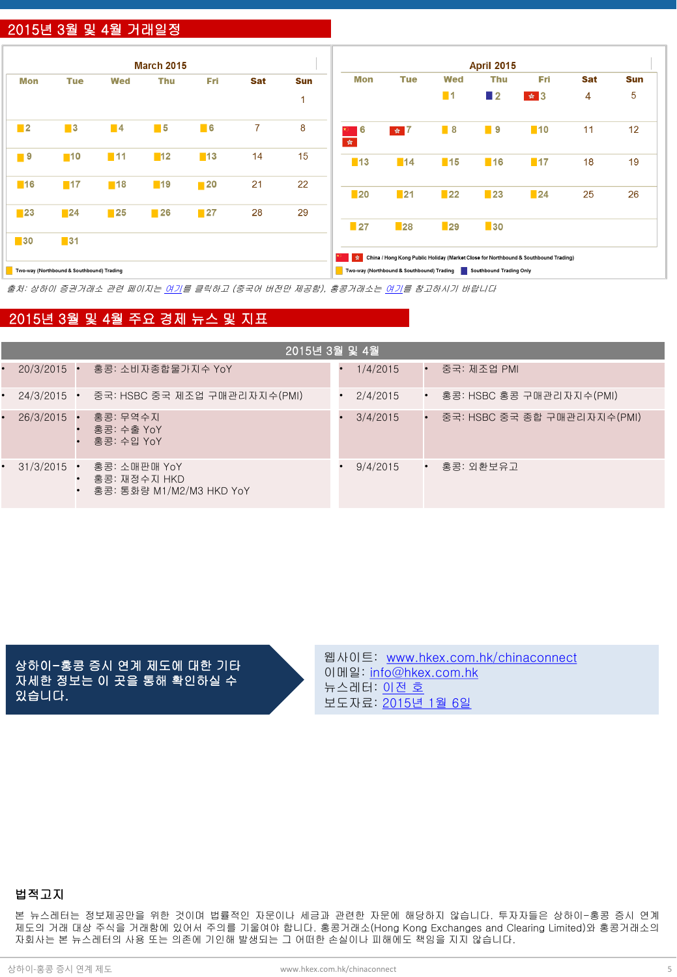## 2015년 3월 및 4월 거래일정

|                   |                                           |                   | <b>March 2015</b> |                   |                |                          |                   |                                           |                   | <b>April 2015</b>       |                                                                                           |            |            |
|-------------------|-------------------------------------------|-------------------|-------------------|-------------------|----------------|--------------------------|-------------------|-------------------------------------------|-------------------|-------------------------|-------------------------------------------------------------------------------------------|------------|------------|
| Mon               | <b>Tue</b>                                | Wed               | Thu               | <b>Fri</b>        | Sat            | <b>Sun</b>               | Mon               | <b>Tue</b>                                | <b>Wed</b>        | <b>Thu</b>              | Fri                                                                                       | <b>Sat</b> | <b>Sun</b> |
|                   |                                           |                   |                   |                   |                | $\overline{\phantom{a}}$ |                   |                                           | $\blacksquare$ 1  | $\blacksquare$ 2        | $\frac{1}{2}$ $\frac{1}{2}$ $\frac{1}{2}$                                                 | 4          | 5          |
| $\blacksquare$    | $\blacksquare$ 3                          | $\blacksquare$ 4  | $\blacksquare$ 5  | $\blacksquare$ 6  | $\overline{7}$ | 8                        | I 6<br>女。         | $\frac{1}{2}$ $\frac{1}{2}$               | $\blacksquare$ 8  | ■ 9                     | $\blacksquare$ 10                                                                         | 11         | 12         |
| $\blacksquare$ 9  | $\blacksquare$ 10                         | $\blacksquare$ 11 | $\blacksquare$ 12 | $\blacksquare$ 13 | 14             | 15                       | $\blacksquare$ 13 | $\blacksquare$ 14                         | $\blacksquare$ 15 | $\blacksquare$ 16       | $\blacksquare$ 17                                                                         | 18         | 19         |
| $\blacksquare$ 16 | $\blacksquare$ 17                         | $\blacksquare$ 18 | ■19               | $\blacksquare$ 20 | 21             | 22                       |                   |                                           |                   |                         |                                                                                           |            |            |
|                   |                                           |                   |                   |                   |                |                          | $\blacksquare$ 20 | $\blacksquare$ 21                         | $\blacksquare$ 22 | $\blacksquare$ 23       | $\blacksquare$ 24                                                                         | 25         | 26         |
| $\blacksquare$ 23 | $\blacksquare$ 24                         | $\blacksquare$ 25 | $\blacksquare$ 26 | $\blacksquare$ 27 | 28             | 29                       |                   |                                           |                   |                         |                                                                                           |            |            |
|                   |                                           |                   |                   |                   |                |                          | $\blacksquare$ 27 | $\blacksquare$ 28                         | $\blacksquare$ 29 | $\blacksquare$ 30       |                                                                                           |            |            |
| $\blacksquare$ 30 | $\blacksquare$ 31                         |                   |                   |                   |                |                          |                   |                                           |                   |                         |                                                                                           |            |            |
|                   |                                           |                   |                   |                   |                |                          |                   |                                           |                   |                         | Stell China / Hong Kong Public Holiday (Market Close for Northbound & Southbound Trading) |            |            |
|                   | Two-way (Northbound & Southbound) Trading |                   |                   |                   |                |                          |                   | Two-way (Northbound & Southbound) Trading |                   | Southbound Trading Only |                                                                                           |            |            |

출처: 상하이 증권거래소 관련 페이지는 [여기](http://www.sse.com.cn/marketservices/hkexsc/home/holiday/)를 클릭하고 (중국어 버전만 제공함), 홍콩거래소는 [여기](http://www.hkex.com.hk/eng/market/sec_tradinfra/chinaconnect/Calendar.htm)를 참고하시기 바랍니다

### 2015년 3월 및 4월 주요 경제 뉴스 및 지표

| 2015년 3월 및 4월 |  |                                                          |  |          |             |                             |  |  |  |  |
|---------------|--|----------------------------------------------------------|--|----------|-------------|-----------------------------|--|--|--|--|
| $20/3/2015$ . |  | 홍콩: 소비자종합물가지수 YoY                                        |  | 1/4/2015 | $\bullet$   | 중국: 제조업 PMI                 |  |  |  |  |
| $24/3/2015$ • |  | 중국: HSBC 중국 제조업 구매관리자지수(PMI)                             |  | 2/4/2015 |             | • 홍콩: HSBC 홍콩 구매관리자지수(PMI)  |  |  |  |  |
| $26/3/2015$ . |  | 홍콩: 무역수지<br>홍콩: 수출 YoY<br>홍콩: 수입 YoY                     |  | 3/4/2015 | $\bullet$   | 중국: HSBC 중국 종합 구매관리자지수(PMI) |  |  |  |  |
| $31/3/2015$ . |  | 홍콩: 소매판매 YoY<br>홍콩: 재정수지 HKD<br>홍콩: 통화량 M1/M2/M3 HKD YoY |  | 9/4/2015 | $\bullet$ . | 홍콩: 외환보유고                   |  |  |  |  |

상하이-홍콩 증시 연계 제도에 대한 기타 자세한 정보는 이 곳을 통해 확인하실 수 있습니다.

웹사이트: [www.hkex.com.hk/chinaconnect](http://www.hkex.com.hk/chinaconnect) 이메일: [info@hkex.com.hk](mailto:info@hkex.com.hk) 뉴스레터: <u>[이전](http://www.hkex.com.hk/eng/market/sec_tradinfra/chinaconnect/Newsletter.htm) [호](http://www.hkex.com.hk/eng/market/sec_tradinfra/chinaconnect/Newsletter.htm)</u> 보도자료: [2015](http://www.hkex.com.hk/eng/newsconsul/hkexnews/2015/150106news.htm)[년](http://www.hkex.com.hk/eng/newsconsul/hkexnews/2015/150106news.htm) [1](http://www.hkex.com.hk/eng/newsconsul/hkexnews/2015/150106news.htm)[월](http://www.hkex.com.hk/eng/newsconsul/hkexnews/2015/150106news.htm) [6](http://www.hkex.com.hk/eng/newsconsul/hkexnews/2015/150106news.htm)[일](http://www.hkex.com.hk/eng/newsconsul/hkexnews/2015/150106news.htm)

## 법적고지

본 뉴스레터는 정보제공만을 위한 것이며 법률적인 자문이나 세금과 관련한 자문에 해당하지 않습니다. 투자자들은 상하이-홍콩 증시 연계 제도의 거래 대상 주식을 거래함에 있어서 주의를 기울여야 합니다. 홍콩거래소(Hong Kong Exchanges and Clearing Limited)와 홍콩거래소의 자회사는 본 뉴스레터의 사용 또는 의존에 기인해 발생되는 그 어떠한 손실이나 피해에도 책임을 지지 않습니다.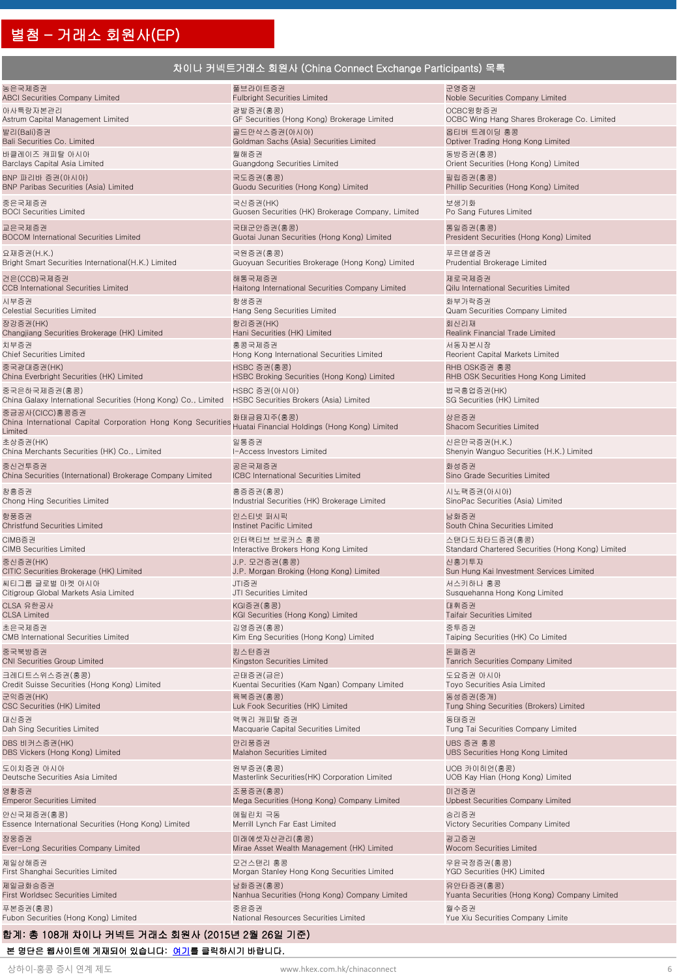## 차이나 커넥트거래소 회원사 (China Connect Exchange Participants) 목록

| 농은국제증권                                                                                    | 풀브라이트증권                                                     | 군영증권                                              |
|-------------------------------------------------------------------------------------------|-------------------------------------------------------------|---------------------------------------------------|
| <b>ABCI Securities Company Limited</b>                                                    | <b>Fulbright Securities Limited</b>                         | Noble Securities Company Limited                  |
| 아사특랑자본관리                                                                                  | 광발증권(홍콩)                                                    | OCBC윙항증권                                          |
| Astrum Capital Management Limited                                                         | GF Securities (Hong Kong) Brokerage Limited                 | OCBC Wing Hang Shares Brokerage Co. Limited       |
| 발리(Bali)증권                                                                                | 골드만삭스증권(아시아)                                                | 옵티버 트레이딩 홍콩                                       |
| Bali Securities Co. Limited                                                               | Goldman Sachs (Asia) Securities Limited                     | Optiver Trading Hong Kong Limited                 |
| 바클레이즈 캐피탈 아시아                                                                             | 월해증권                                                        | 동방증권(홍콩)                                          |
| Barclays Capital Asia Limited                                                             | Guangdong Securities Limited                                | Orient Securities (Hong Kong) Limited             |
| BNP 파리바 증권(아시아)                                                                           | 국도증권(홍콩)                                                    | 필립증권(홍콩)                                          |
| <b>BNP Paribas Securities (Asia) Limited</b>                                              | Guodu Securities (Hong Kong) Limited                        | Phillip Securities (Hong Kong) Limited            |
| 중은국제증권                                                                                    | 국신증권(HK)                                                    | 보생기화                                              |
| <b>BOCI Securities Limited</b>                                                            | Guosen Securities (HK) Brokerage Company, Limited           | Po Sang Futures Limited                           |
| 교은국제증권                                                                                    | 국태군안증권(홍콩)                                                  | 통일증권(홍콩)                                          |
| <b>BOCOM International Securities Limited</b>                                             | Guotai Junan Securities (Hong Kong) Limited                 | President Securities (Hong Kong) Limited          |
| 요재증권(H.K.)                                                                                | 국원증권(홍콩)                                                    | 푸르덴셜증권                                            |
| Bright Smart Securities International(H.K.) Limited                                       | Guoyuan Securities Brokerage (Hong Kong) Limited            | Prudential Brokerage Limited                      |
| 건은(CCB)국제증권                                                                               | 해통국제증권                                                      | 제로국제증권                                            |
| <b>CCB</b> International Securities Limited                                               | Haitong International Securities Company Limited            | Qilu International Securities Limited             |
| 시부증권                                                                                      | 항생증권                                                        | 화부가락증권                                            |
| Celestial Securities Limited                                                              | Hang Seng Securities Limited                                | Quam Securities Company Limited                   |
| 장강증권(HK)                                                                                  | 항리증권(HK)                                                    | 회신리재                                              |
| Changjiang Securities Brokerage (HK) Limited                                              | Hani Securities (HK) Limited                                | Realink Financial Trade Limited                   |
| 치부증권                                                                                      | 홍콩국제증권                                                      | 서동자본시장                                            |
| <b>Chief Securities Limited</b>                                                           | Hong Kong International Securities Limited                  | Reorient Capital Markets Limited                  |
| 중국광대증권(HK)                                                                                | HSBC 증권(홍콩)                                                 | RHB OSK증권 홍콩                                      |
| China Everbright Securities (HK) Limited                                                  | HSBC Broking Securities (Hong Kong) Limited                 | RHB OSK Securities Hong Kong Limited              |
| 중국은하국제증권(홍콩)                                                                              | HSBC 증권(아시아)                                                | 법국흥업증권(HK)                                        |
| China Galaxy International Securities (Hong Kong) Co., Limited                            | HSBC Securities Brokers (Asia) Limited                      | SG Securities (HK) Limited                        |
| 중금공사(CICC)홍콩증권<br>China International Capital Corporation Hong Kong Securities<br>Limited | 화태금융지주(홍콩)<br>Huatai Financial Holdings (Hong Kong) Limited | 상은증권<br>Shacom Securities Limited                 |
| 초상증권(HK)                                                                                  | 일통증권                                                        | 신은만국증권(H.K.)                                      |
| China Merchants Securities (HK) Co., Limited                                              | I-Access Investors Limited                                  | Shenyin Wanguo Securities (H.K.) Limited          |
| 중신건투증권                                                                                    | 공은국제증권                                                      | 화성증권                                              |
| China Securities (International) Brokerage Company Limited                                | ICBC International Securities Limited                       | Sino Grade Securities Limited                     |
| 창흥증권                                                                                      | 흥증증권(홍콩)                                                    | 시노팩증권(아시아)                                        |
| Chong Hing Securities Limited                                                             | Industrial Securities (HK) Brokerage Limited                | SinoPac Securities (Asia) Limited                 |
| 항풍증권                                                                                      | 인스티넷 퍼시픽                                                    | 남화증권                                              |
| <b>Christfund Securities Limited</b>                                                      | Instinet Pacific Limited                                    | South China Securities Limited                    |
| CIMB증권                                                                                    | 인터랙티브 브로커스 홍콩                                               | 스탠다드차타드증권(홍콩)                                     |
| <b>CIMB Securities Limited</b>                                                            | Interactive Brokers Hong Kong Limited                       | Standard Chartered Securities (Hong Kong) Limited |
| 중신증권(HK)                                                                                  | J.P. 모건증권(홍콩)                                               | 신홍기투자                                             |
| CITIC Securities Brokerage (HK) Limited                                                   | J.P. Morgan Broking (Hong Kong) Limited                     | Sun Hung Kai Investment Services Limited          |
| 씨티그룹 글로벌 마켓 아시아                                                                           | JTI증권                                                       | 서스키하나 홍콩                                          |
| Citigroup Global Markets Asia Limited                                                     | JTI Securities Limited                                      | Susquehanna Hong Kong Limited                     |
| CLSA 유한공사                                                                                 | KGI증권(홍콩)                                                   | 대휘증권                                              |
| <b>CLSA Limited</b>                                                                       | KGI Securities (Hong Kong) Limited                          | <b>Taifair Securities Limited</b>                 |
| 초은국제증권                                                                                    | 김영증권(홍콩)                                                    | 중투증권                                              |
| CMB International Securities Limited                                                      | Kim Eng Securities (Hong Kong) Limited                      | Taiping Securities (HK) Co Limited                |
| 중국북방증권                                                                                    | 킹스턴증권                                                       | 돈패증권                                              |
| CNI Securities Group Limited                                                              | Kingston Securities Limited                                 | Tanrich Securities Company Limited                |
| 크레디트스위스증권(홍콩)                                                                             | 곤태증권(금은)                                                    | 도요증권 아시아                                          |
| Credit Suisse Securities (Hong Kong) Limited                                              | Kuentai Securities (Kam Ngan) Company Limited               | Toyo Securities Asia Limited                      |
| 군익증권(HK)                                                                                  | 육복증권(홍콩)                                                    | 동성증권(중개)                                          |
| CSC Securities (HK) Limited                                                               | Luk Fook Securities (HK) Limited                            | Tung Shing Securities (Brokers) Limited           |
| 대신증권                                                                                      | 맥쿼리 캐피탈 증권                                                  | 동태증권                                              |
| Dah Sing Securities Limited                                                               | Macquarie Capital Securities Limited                        | Tung Tai Securities Company Limited               |
| DBS 비커스증권(HK)                                                                             | 만리풍증권                                                       | UBS 증권 홍콩                                         |
| DBS Vickers (Hong Kong) Limited                                                           | Malahon Securities Limited                                  | UBS Securities Hong Kong Limited                  |
| 도이치증권 아시아                                                                                 | 원부증권(홍콩)                                                    | UOB 카이히언(홍콩)                                      |
| Deutsche Securities Asia Limited                                                          | Masterlink Securities(HK) Corporation Limited               | UOB Kay Hian (Hong Kong) Limited                  |
| 영황증권                                                                                      | 조풍증권(홍콩)                                                    | 미건증권                                              |
| <b>Emperor Securities Limited</b>                                                         | Mega Securities (Hong Kong) Company Limited                 | <b>Upbest Securities Company Limited</b>          |
| 안신국제증권(홍콩)                                                                                | 메릴린치 극동                                                     | 승리증권                                              |
| Essence International Securities (Hong Kong) Limited                                      | Merrill Lynch Far East Limited                              | Victory Securities Company Limited                |
| 장웅증권                                                                                      | 미래에셋자산관리(홍콩)                                                | 굉고증권                                              |
| Ever-Long Securities Company Limited                                                      | Mirae Asset Wealth Management (HK) Limited                  | Wocom Securities Limited                          |
| 제일상해증권                                                                                    | 모건스탠리 홍콩                                                    | 우윤국정증권(홍콩)                                        |
| First Shanghai Securities Limited                                                         | Morgan Stanley Hong Kong Securities Limited                 | YGD Securities (HK) Limited                       |
| 제일금화승증권                                                                                   | 남화증권(홍콩)                                                    | 유안타증권(홍콩)                                         |
| First Worldsec Securities Limited                                                         | Nanhua Securities (Hong Kong) Company Limited               | Yuanta Securities (Hong Kong) Company Limited     |
| 푸본증권(홍콩)                                                                                  | 중윤증권                                                        | 월수증권                                              |
| Fubon Securities (Hong Kong) Limited                                                      | National Resources Securities Limited                       | Yue Xiu Securities Company Limite                 |
|                                                                                           |                                                             |                                                   |

#### 합계: 총 108개 차이나 커넥트 거래소 회원사 (2015년 2월 26일 기준)

본 명단은 웹사이트에 게재되어 있습니다: [여기를](http://www.hkex.com.hk/eng/market/sec_tradinfra/chinaconnect/Documents/CCEP_List.xlsx) 클릭하시기 바랍니다.